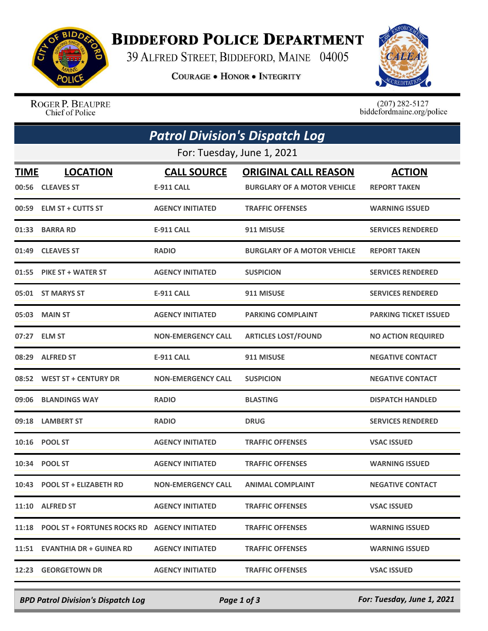

## **BIDDEFORD POLICE DEPARTMENT**

39 ALFRED STREET, BIDDEFORD, MAINE 04005

**COURAGE . HONOR . INTEGRITY** 



ROGER P. BEAUPRE Chief of Police

 $(207)$  282-5127<br>biddefordmaine.org/police

|                            | <b>Patrol Division's Dispatch Log</b>              |                                         |                                                                   |                                      |  |  |  |
|----------------------------|----------------------------------------------------|-----------------------------------------|-------------------------------------------------------------------|--------------------------------------|--|--|--|
| For: Tuesday, June 1, 2021 |                                                    |                                         |                                                                   |                                      |  |  |  |
| <b>TIME</b>                | <b>LOCATION</b><br>00:56 CLEAVES ST                | <b>CALL SOURCE</b><br><b>E-911 CALL</b> | <b>ORIGINAL CALL REASON</b><br><b>BURGLARY OF A MOTOR VEHICLE</b> | <b>ACTION</b><br><b>REPORT TAKEN</b> |  |  |  |
| 00:59                      | <b>ELM ST + CUTTS ST</b>                           | <b>AGENCY INITIATED</b>                 | <b>TRAFFIC OFFENSES</b>                                           | <b>WARNING ISSUED</b>                |  |  |  |
| 01:33                      | <b>BARRA RD</b>                                    | <b>E-911 CALL</b>                       | 911 MISUSE                                                        | <b>SERVICES RENDERED</b>             |  |  |  |
| 01:49                      | <b>CLEAVES ST</b>                                  | <b>RADIO</b>                            | <b>BURGLARY OF A MOTOR VEHICLE</b>                                | <b>REPORT TAKEN</b>                  |  |  |  |
|                            | 01:55 PIKE ST + WATER ST                           | <b>AGENCY INITIATED</b>                 | <b>SUSPICION</b>                                                  | <b>SERVICES RENDERED</b>             |  |  |  |
|                            | 05:01 ST MARYS ST                                  | <b>E-911 CALL</b>                       | 911 MISUSE                                                        | <b>SERVICES RENDERED</b>             |  |  |  |
|                            | 05:03 MAIN ST                                      | <b>AGENCY INITIATED</b>                 | <b>PARKING COMPLAINT</b>                                          | <b>PARKING TICKET ISSUED</b>         |  |  |  |
|                            | 07:27 ELM ST                                       | <b>NON-EMERGENCY CALL</b>               | <b>ARTICLES LOST/FOUND</b>                                        | <b>NO ACTION REQUIRED</b>            |  |  |  |
| 08:29                      | <b>ALFRED ST</b>                                   | <b>E-911 CALL</b>                       | 911 MISUSE                                                        | <b>NEGATIVE CONTACT</b>              |  |  |  |
|                            | 08:52 WEST ST + CENTURY DR                         | <b>NON-EMERGENCY CALL</b>               | <b>SUSPICION</b>                                                  | <b>NEGATIVE CONTACT</b>              |  |  |  |
| 09:06                      | <b>BLANDINGS WAY</b>                               | <b>RADIO</b>                            | <b>BLASTING</b>                                                   | <b>DISPATCH HANDLED</b>              |  |  |  |
| 09:18                      | <b>LAMBERT ST</b>                                  | <b>RADIO</b>                            | <b>DRUG</b>                                                       | <b>SERVICES RENDERED</b>             |  |  |  |
| 10:16                      | <b>POOL ST</b>                                     | <b>AGENCY INITIATED</b>                 | <b>TRAFFIC OFFENSES</b>                                           | <b>VSAC ISSUED</b>                   |  |  |  |
|                            | 10:34 POOL ST                                      | <b>AGENCY INITIATED</b>                 | <b>TRAFFIC OFFENSES</b>                                           | <b>WARNING ISSUED</b>                |  |  |  |
|                            | 10:43 POOL ST + ELIZABETH RD                       | <b>NON-EMERGENCY CALL</b>               | <b>ANIMAL COMPLAINT</b>                                           | <b>NEGATIVE CONTACT</b>              |  |  |  |
|                            | 11:10 ALFRED ST                                    | <b>AGENCY INITIATED</b>                 | <b>TRAFFIC OFFENSES</b>                                           | <b>VSAC ISSUED</b>                   |  |  |  |
|                            | 11:18 POOL ST + FORTUNES ROCKS RD AGENCY INITIATED |                                         | <b>TRAFFIC OFFENSES</b>                                           | <b>WARNING ISSUED</b>                |  |  |  |
|                            | 11:51 EVANTHIA DR + GUINEA RD                      | <b>AGENCY INITIATED</b>                 | <b>TRAFFIC OFFENSES</b>                                           | <b>WARNING ISSUED</b>                |  |  |  |
|                            | 12:23 GEORGETOWN DR                                | <b>AGENCY INITIATED</b>                 | <b>TRAFFIC OFFENSES</b>                                           | <b>VSAC ISSUED</b>                   |  |  |  |

*BPD Patrol Division's Dispatch Log Page 1 of 3 For: Tuesday, June 1, 2021*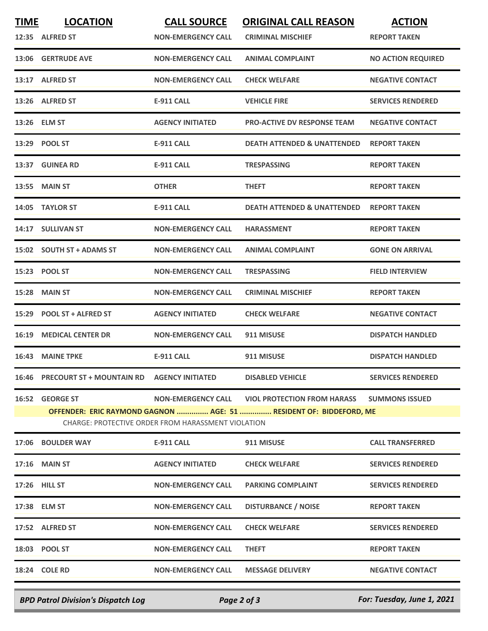| <b>TIME</b> | <b>LOCATION</b>                                                                                                          | <b>CALL SOURCE</b>        | <b>ORIGINAL CALL REASON</b>            | <b>ACTION</b>             |  |
|-------------|--------------------------------------------------------------------------------------------------------------------------|---------------------------|----------------------------------------|---------------------------|--|
|             | 12:35 ALFRED ST                                                                                                          | <b>NON-EMERGENCY CALL</b> | <b>CRIMINAL MISCHIEF</b>               | <b>REPORT TAKEN</b>       |  |
|             | 13:06 GERTRUDE AVE                                                                                                       | <b>NON-EMERGENCY CALL</b> | <b>ANIMAL COMPLAINT</b>                | <b>NO ACTION REQUIRED</b> |  |
|             | 13:17 ALFRED ST                                                                                                          | <b>NON-EMERGENCY CALL</b> | <b>CHECK WELFARE</b>                   | <b>NEGATIVE CONTACT</b>   |  |
|             | 13:26 ALFRED ST                                                                                                          | <b>E-911 CALL</b>         | <b>VEHICLE FIRE</b>                    | <b>SERVICES RENDERED</b>  |  |
|             | 13:26 ELM ST                                                                                                             | <b>AGENCY INITIATED</b>   | <b>PRO-ACTIVE DV RESPONSE TEAM</b>     | <b>NEGATIVE CONTACT</b>   |  |
|             | 13:29 POOL ST                                                                                                            | <b>E-911 CALL</b>         | <b>DEATH ATTENDED &amp; UNATTENDED</b> | <b>REPORT TAKEN</b>       |  |
|             | 13:37 GUINEA RD                                                                                                          | <b>E-911 CALL</b>         | <b>TRESPASSING</b>                     | <b>REPORT TAKEN</b>       |  |
|             | 13:55 MAIN ST                                                                                                            | <b>OTHER</b>              | <b>THEFT</b>                           | <b>REPORT TAKEN</b>       |  |
|             | 14:05 TAYLOR ST                                                                                                          | <b>E-911 CALL</b>         | <b>DEATH ATTENDED &amp; UNATTENDED</b> | <b>REPORT TAKEN</b>       |  |
|             | 14:17 SULLIVAN ST                                                                                                        | <b>NON-EMERGENCY CALL</b> | <b>HARASSMENT</b>                      | <b>REPORT TAKEN</b>       |  |
|             | 15:02 SOUTH ST + ADAMS ST                                                                                                | <b>NON-EMERGENCY CALL</b> | <b>ANIMAL COMPLAINT</b>                | <b>GONE ON ARRIVAL</b>    |  |
|             | 15:23 POOL ST                                                                                                            | <b>NON-EMERGENCY CALL</b> | <b>TRESPASSING</b>                     | <b>FIELD INTERVIEW</b>    |  |
| 15:28       | <b>MAIN ST</b>                                                                                                           | <b>NON-EMERGENCY CALL</b> | <b>CRIMINAL MISCHIEF</b>               | <b>REPORT TAKEN</b>       |  |
|             | 15:29 POOL ST + ALFRED ST                                                                                                | <b>AGENCY INITIATED</b>   | <b>CHECK WELFARE</b>                   | <b>NEGATIVE CONTACT</b>   |  |
|             | <b>16:19 MEDICAL CENTER DR</b>                                                                                           | <b>NON-EMERGENCY CALL</b> | 911 MISUSE                             | <b>DISPATCH HANDLED</b>   |  |
| 16:43       | <b>MAINE TPKE</b>                                                                                                        | <b>E-911 CALL</b>         | 911 MISUSE                             | <b>DISPATCH HANDLED</b>   |  |
|             | 16:46 PRECOURT ST + MOUNTAIN RD AGENCY INITIATED                                                                         |                           | <b>DISABLED VEHICLE</b>                | <b>SERVICES RENDERED</b>  |  |
|             | 16:52 GEORGE ST                                                                                                          |                           |                                        | <b>SUMMONS ISSUED</b>     |  |
|             | OFFENDER: ERIC RAYMOND GAGNON  AGE: 51  RESIDENT OF: BIDDEFORD, ME<br>CHARGE: PROTECTIVE ORDER FROM HARASSMENT VIOLATION |                           |                                        |                           |  |
|             | 17:06 BOULDER WAY                                                                                                        | E-911 CALL                | 911 MISUSE                             | <b>CALL TRANSFERRED</b>   |  |
|             | 17:16 MAIN ST                                                                                                            | <b>AGENCY INITIATED</b>   | <b>CHECK WELFARE</b>                   | <b>SERVICES RENDERED</b>  |  |
|             | 17:26 HILL ST                                                                                                            | <b>NON-EMERGENCY CALL</b> | <b>PARKING COMPLAINT</b>               | <b>SERVICES RENDERED</b>  |  |
|             | 17:38 ELM ST                                                                                                             | <b>NON-EMERGENCY CALL</b> | <b>DISTURBANCE / NOISE</b>             | <b>REPORT TAKEN</b>       |  |
|             | 17:52 ALFRED ST                                                                                                          | <b>NON-EMERGENCY CALL</b> | <b>CHECK WELFARE</b>                   | <b>SERVICES RENDERED</b>  |  |
|             | 18:03 POOL ST                                                                                                            | <b>NON-EMERGENCY CALL</b> | <b>THEFT</b>                           | <b>REPORT TAKEN</b>       |  |
|             | 18:24 COLE RD                                                                                                            | <b>NON-EMERGENCY CALL</b> | <b>MESSAGE DELIVERY</b>                | <b>NEGATIVE CONTACT</b>   |  |
|             |                                                                                                                          |                           |                                        |                           |  |

*BPD Patrol Division's Dispatch Log Page 2 of 3 For: Tuesday, June 1, 2021*